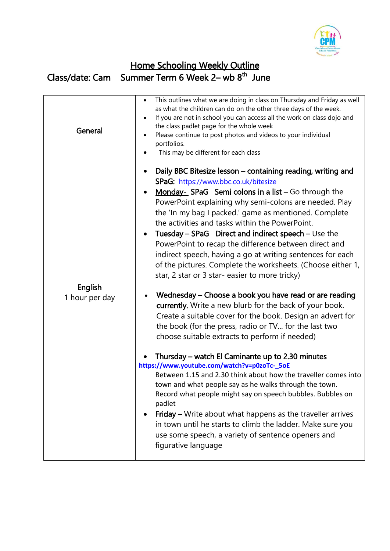

## Home Schooling Weekly Outline Class/date: Cam Summer Term 6 Week 2– wb 8<sup>th</sup> June

| General                   | This outlines what we are doing in class on Thursday and Friday as well<br>$\bullet$<br>as what the children can do on the other three days of the week.<br>If you are not in school you can access all the work on class dojo and<br>$\bullet$<br>the class padlet page for the whole week<br>Please continue to post photos and videos to your individual<br>portfolios.<br>This may be different for each class                                                                                                                                                                                                                                                                                                                                                                                                                                                                                                                                                                                                                                                                                                                                                                                                                                                                                                                                                                                                                                             |
|---------------------------|----------------------------------------------------------------------------------------------------------------------------------------------------------------------------------------------------------------------------------------------------------------------------------------------------------------------------------------------------------------------------------------------------------------------------------------------------------------------------------------------------------------------------------------------------------------------------------------------------------------------------------------------------------------------------------------------------------------------------------------------------------------------------------------------------------------------------------------------------------------------------------------------------------------------------------------------------------------------------------------------------------------------------------------------------------------------------------------------------------------------------------------------------------------------------------------------------------------------------------------------------------------------------------------------------------------------------------------------------------------------------------------------------------------------------------------------------------------|
| English<br>1 hour per day | Daily BBC Bitesize lesson – containing reading, writing and<br>$\bullet$<br>SPaG: https://www.bbc.co.uk/bitesize<br>Monday-SPaG Semi colons in a list - Go through the<br>PowerPoint explaining why semi-colons are needed. Play<br>the 'In my bag I packed.' game as mentioned. Complete<br>the activities and tasks within the PowerPoint.<br>Tuesday - SPaG Direct and indirect speech - Use the<br>٠<br>PowerPoint to recap the difference between direct and<br>indirect speech, having a go at writing sentences for each<br>of the pictures. Complete the worksheets. (Choose either 1,<br>star, 2 star or 3 star- easier to more tricky)<br>Wednesday – Choose a book you have read or are reading<br>currently. Write a new blurb for the back of your book.<br>Create a suitable cover for the book. Design an advert for<br>the book (for the press, radio or TV for the last two<br>choose suitable extracts to perform if needed)<br>Thursday – watch El Caminante up to 2.30 minutes<br>https://www.youtube.com/watch?v=p0zoTc-_5oE<br>Between 1.15 and 2.30 think about how the traveller comes into<br>town and what people say as he walks through the town.<br>Record what people might say on speech bubbles. Bubbles on<br>padlet<br>Friday - Write about what happens as the traveller arrives<br>in town until he starts to climb the ladder. Make sure you<br>use some speech, a variety of sentence openers and<br>figurative language |